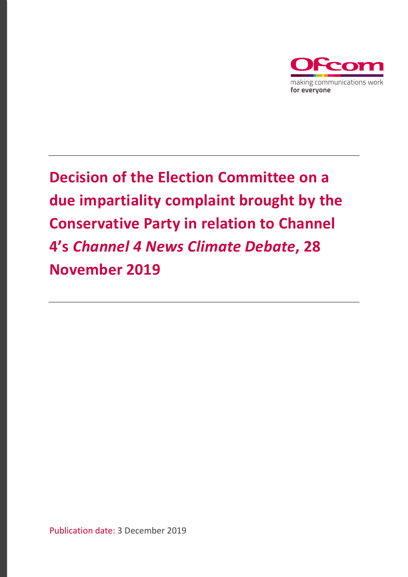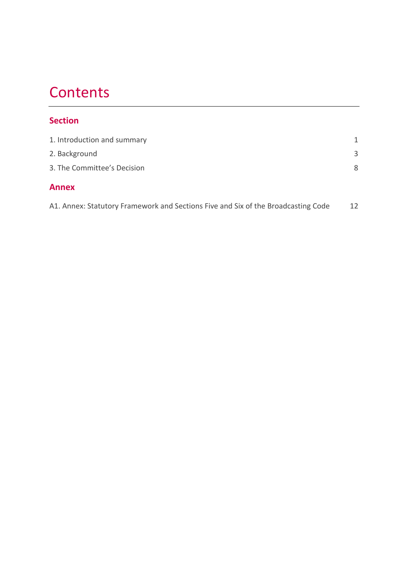# **Contents**

## **Section**

| <b>Annex</b>                |   |
|-----------------------------|---|
| 3. The Committee's Decision | 8 |
| 2. Background               | 3 |
| 1. Introduction and summary | 1 |

| A1. Annex: Statutory Framework and Sections Five and Six of the Broadcasting Code |  |
|-----------------------------------------------------------------------------------|--|
|                                                                                   |  |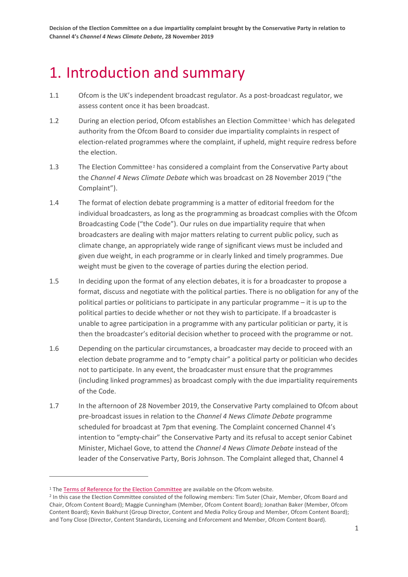# <span id="page-2-0"></span>1. Introduction and summary

- 1.1 Ofcom is the UK's independent broadcast regulator. As a post-broadcast regulator, we assess content once it has been broadcast.
- [1](#page-4-1).2 During an election period, Ofcom establishes an Election Committee<sup>1</sup> which has delegated authority from the Ofcom Board to consider due impartiality complaints in respect of election-related programmes where the complaint, if upheld, might require redress before the election.
- 1.3 The Election Committee<sup>[2](#page-2-1)</sup> has considered a complaint from the Conservative Party about the *Channel 4 News Climate Debate* which was broadcast on 28 November 2019 ("the Complaint").
- 1.4 The format of election debate programming is a matter of editorial freedom for the individual broadcasters, as long as the programming as broadcast complies with the Ofcom Broadcasting Code ("the Code"). Our rules on due impartiality require that when broadcasters are dealing with major matters relating to current public policy, such as climate change, an appropriately wide range of significant views must be included and given due weight, in each programme or in clearly linked and timely programmes. Due weight must be given to the coverage of parties during the election period.
- 1.5 In deciding upon the format of any election debates, it is for a broadcaster to propose a format, discuss and negotiate with the political parties. There is no obligation for any of the political parties or politicians to participate in any particular programme – it is up to the political parties to decide whether or not they wish to participate. If a broadcaster is unable to agree participation in a programme with any particular politician or party, it is then the broadcaster's editorial decision whether to proceed with the programme or not.
- 1.6 Depending on the particular circumstances, a broadcaster may decide to proceed with an election debate programme and to "empty chair" a political party or politician who decides not to participate. In any event, the broadcaster must ensure that the programmes (including linked programmes) as broadcast comply with the due impartiality requirements of the Code.
- 1.7 In the afternoon of 28 November 2019, the Conservative Party complained to Ofcom about pre-broadcast issues in relation to the *Channel 4 News Climate Debate* programme scheduled for broadcast at 7pm that evening. The Complaint concerned Channel 4's intention to "empty-chair" the Conservative Party and its refusal to accept senior Cabinet Minister, Michael Gove, to attend the *Channel 4 News Climate Debate* instead of the leader of the Conservative Party, Boris Johnson. The Complaint alleged that, Channel 4

<sup>&</sup>lt;sup>1</sup> Th[e Terms of Reference for the Election Committee](https://www.ofcom.org.uk/about-ofcom/how-ofcom-is-run/committees/election-committee) are available on the Ofcom website.

<span id="page-2-1"></span><sup>&</sup>lt;sup>2</sup> In this case the Election Committee consisted of the following members: Tim Suter (Chair, Member, Ofcom Board and Chair, Ofcom Content Board); Maggie Cunningham (Member, Ofcom Content Board); Jonathan Baker (Member, Ofcom Content Board); Kevin Bakhurst (Group Director, Content and Media Policy Group and Member, Ofcom Content Board); and Tony Close (Director, Content Standards, Licensing and Enforcement and Member, Ofcom Content Board).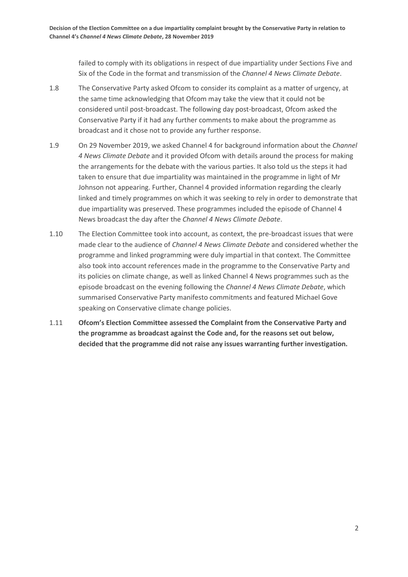failed to comply with its obligations in respect of due impartiality under Sections Five and Six of the Code in the format and transmission of the *Channel 4 News Climate Debate*.

- 1.8 The Conservative Party asked Ofcom to consider its complaint as a matter of urgency, at the same time acknowledging that Ofcom may take the view that it could not be considered until post-broadcast. The following day post-broadcast, Ofcom asked the Conservative Party if it had any further comments to make about the programme as broadcast and it chose not to provide any further response.
- 1.9 On 29 November 2019, we asked Channel 4 for background information about the *Channel 4 News Climate Debate* and it provided Ofcom with details around the process for making the arrangements for the debate with the various parties. It also told us the steps it had taken to ensure that due impartiality was maintained in the programme in light of Mr Johnson not appearing. Further, Channel 4 provided information regarding the clearly linked and timely programmes on which it was seeking to rely in order to demonstrate that due impartiality was preserved. These programmes included the episode of Channel 4 News broadcast the day after the *Channel 4 News Climate Debate*.
- 1.10 The Election Committee took into account, as context, the pre-broadcast issues that were made clear to the audience of *Channel 4 News Climate Debate* and considered whether the programme and linked programming were duly impartial in that context. The Committee also took into account references made in the programme to the Conservative Party and its policies on climate change, as well as linked Channel 4 News programmes such as the episode broadcast on the evening following the *Channel 4 News Climate Debate*, which summarised Conservative Party manifesto commitments and featured Michael Gove speaking on Conservative climate change policies.
- 1.11 **Ofcom's Election Committee assessed the Complaint from the Conservative Party and the programme as broadcast against the Code and, for the reasons set out below, decided that the programme did not raise any issues warranting further investigation.**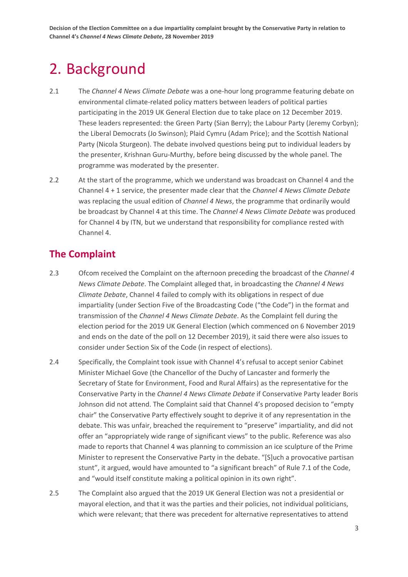# <span id="page-4-0"></span>2. Background

- 2.1 The *Channel 4 News Climate Debate* was a one-hour long programme featuring debate on environmental climate-related policy matters between leaders of political parties participating in the 2019 UK General Election due to take place on 12 December 2019. These leaders represented: the Green Party (Sian Berry); the Labour Party (Jeremy Corbyn); the Liberal Democrats (Jo Swinson); Plaid Cymru (Adam Price); and the Scottish National Party (Nicola Sturgeon). The debate involved questions being put to individual leaders by the presenter, Krishnan Guru-Murthy, before being discussed by the whole panel. The programme was moderated by the presenter.
- 2.2 At the start of the programme, which we understand was broadcast on Channel 4 and the Channel 4 + 1 service, the presenter made clear that the *Channel 4 News Climate Debate* was replacing the usual edition of *Channel 4 News*, the programme that ordinarily would be broadcast by Channel 4 at this time. The *Channel 4 News Climate Debate* was produced for Channel 4 by ITN, but we understand that responsibility for compliance rested with Channel 4.

## **The Complaint**

- 2.3 Ofcom received the Complaint on the afternoon preceding the broadcast of the *Channel 4 News Climate Debate*. The Complaint alleged that, in broadcasting the *Channel 4 News Climate Debate*, Channel 4 failed to comply with its obligations in respect of due impartiality (under Section Five of the Broadcasting Code ("the Code") in the format and transmission of the *Channel 4 News Climate Debate*. As the Complaint fell during the election period for the 2019 UK General Election (which commenced on 6 November 2019 and ends on the date of the poll on 12 December 2019), it said there were also issues to consider under Section Six of the Code (in respect of elections).
- 2.4 Specifically, the Complaint took issue with Channel 4's refusal to accept senior Cabinet Minister Michael Gove (the Chancellor of the Duchy of Lancaster and formerly the Secretary of State for Environment, Food and Rural Affairs) as the representative for the Conservative Party in the *Channel 4 News Climate Debate* if Conservative Party leader Boris Johnson did not attend. The Complaint said that Channel 4's proposed decision to "empty chair" the Conservative Party effectively sought to deprive it of any representation in the debate. This was unfair, breached the requirement to "preserve" impartiality, and did not offer an "appropriately wide range of significant views" to the public. Reference was also made to reports that Channel 4 was planning to commission an ice sculpture of the Prime Minister to represent the Conservative Party in the debate. "[S]uch a provocative partisan stunt", it argued, would have amounted to "a significant breach" of Rule 7.1 of the Code, and "would itself constitute making a political opinion in its own right".
- <span id="page-4-1"></span>2.5 The Complaint also argued that the 2019 UK General Election was not a presidential or mayoral election, and that it was the parties and their policies, not individual politicians, which were relevant; that there was precedent for alternative representatives to attend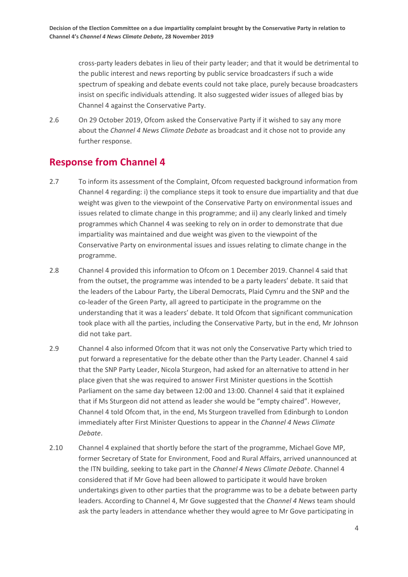cross-party leaders debates in lieu of their party leader; and that it would be detrimental to the public interest and news reporting by public service broadcasters if such a wide spectrum of speaking and debate events could not take place, purely because broadcasters insist on specific individuals attending. It also suggested wider issues of alleged bias by Channel 4 against the Conservative Party.

2.6 On 29 October 2019, Ofcom asked the Conservative Party if it wished to say any more about the *Channel 4 News Climate Debate* as broadcast and it chose not to provide any further response.

## **Response from Channel 4**

- 2.7 To inform its assessment of the Complaint, Ofcom requested background information from Channel 4 regarding: i) the compliance steps it took to ensure due impartiality and that due weight was given to the viewpoint of the Conservative Party on environmental issues and issues related to climate change in this programme; and ii) any clearly linked and timely programmes which Channel 4 was seeking to rely on in order to demonstrate that due impartiality was maintained and due weight was given to the viewpoint of the Conservative Party on environmental issues and issues relating to climate change in the programme.
- 2.8 Channel 4 provided this information to Ofcom on 1 December 2019. Channel 4 said that from the outset, the programme was intended to be a party leaders' debate. It said that the leaders of the Labour Party, the Liberal Democrats, Plaid Cymru and the SNP and the co-leader of the Green Party, all agreed to participate in the programme on the understanding that it was a leaders' debate. It told Ofcom that significant communication took place with all the parties, including the Conservative Party, but in the end, Mr Johnson did not take part.
- 2.9 Channel 4 also informed Ofcom that it was not only the Conservative Party which tried to put forward a representative for the debate other than the Party Leader. Channel 4 said that the SNP Party Leader, Nicola Sturgeon, had asked for an alternative to attend in her place given that she was required to answer First Minister questions in the Scottish Parliament on the same day between 12:00 and 13:00. Channel 4 said that it explained that if Ms Sturgeon did not attend as leader she would be "empty chaired". However, Channel 4 told Ofcom that, in the end, Ms Sturgeon travelled from Edinburgh to London immediately after First Minister Questions to appear in the *Channel 4 News Climate Debate*.
- 2.10 Channel 4 explained that shortly before the start of the programme, Michael Gove MP, former Secretary of State for Environment, Food and Rural Affairs, arrived unannounced at the ITN building, seeking to take part in the *Channel 4 News Climate Debate*. Channel 4 considered that if Mr Gove had been allowed to participate it would have broken undertakings given to other parties that the programme was to be a debate between party leaders. According to Channel 4, Mr Gove suggested that the *Channel 4 News* team should ask the party leaders in attendance whether they would agree to Mr Gove participating in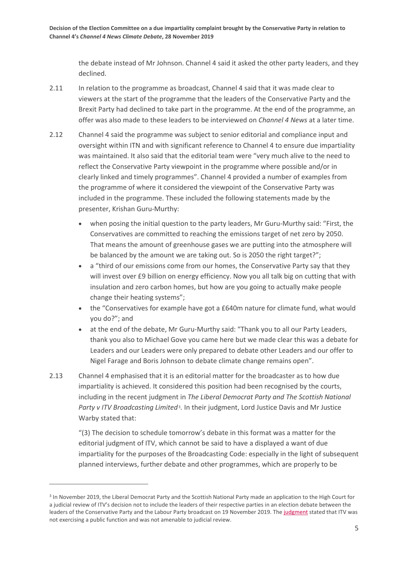the debate instead of Mr Johnson. Channel 4 said it asked the other party leaders, and they declined.

- 2.11 In relation to the programme as broadcast, Channel 4 said that it was made clear to viewers at the start of the programme that the leaders of the Conservative Party and the Brexit Party had declined to take part in the programme. At the end of the programme, an offer was also made to these leaders to be interviewed on *Channel 4 News* at a later time.
- 2.12 Channel 4 said the programme was subject to senior editorial and compliance input and oversight within ITN and with significant reference to Channel 4 to ensure due impartiality was maintained. It also said that the editorial team were "very much alive to the need to reflect the Conservative Party viewpoint in the programme where possible and/or in clearly linked and timely programmes". Channel 4 provided a number of examples from the programme of where it considered the viewpoint of the Conservative Party was included in the programme. These included the following statements made by the presenter, Krishan Guru-Murthy:
	- when posing the initial question to the party leaders, Mr Guru-Murthy said: "First, the Conservatives are committed to reaching the emissions target of net zero by 2050. That means the amount of greenhouse gases we are putting into the atmosphere will be balanced by the amount we are taking out. So is 2050 the right target?";
	- a "third of our emissions come from our homes, the Conservative Party say that they will invest over £9 billion on energy efficiency. Now you all talk big on cutting that with insulation and zero carbon homes, but how are you going to actually make people change their heating systems";
	- the "Conservatives for example have got a £640m nature for climate fund, what would you do?"; and
	- at the end of the debate, Mr Guru-Murthy said: "Thank you to all our Party Leaders, thank you also to Michael Gove you came here but we made clear this was a debate for Leaders and our Leaders were only prepared to debate other Leaders and our offer to Nigel Farage and Boris Johnson to debate climate change remains open".
- 2.13 Channel 4 emphasised that it is an editorial matter for the broadcaster as to how due impartiality is achieved. It considered this position had been recognised by the courts, including in the recent judgment in *The Liberal Democrat Party and The Scottish National Party v ITV Broadcasting Limited*[3](#page-6-0)*.* In their judgment, Lord Justice Davis and Mr Justice Warby stated that:

"(3) The decision to schedule tomorrow's debate in this format was a matter for the editorial judgment of ITV, which cannot be said to have a displayed a want of due impartiality for the purposes of the Broadcasting Code: especially in the light of subsequent planned interviews, further debate and other programmes, which are properly to be

<span id="page-6-0"></span><sup>&</sup>lt;sup>3</sup> In November 2019, the Liberal Democrat Party and the Scottish National Party made an application to the High Court for a judicial review of ITV's decision not to include the leaders of their respective parties in an election debate between the leaders of the Conservative Party and the Labour Party broadcast on 19 November 2019. The [judgment](https://www.judiciary.uk/wp-content/uploads/2019/11/Lib-Dems-v-ITV-decision.pdf) stated that ITV was not exercising a public function and was not amenable to judicial review.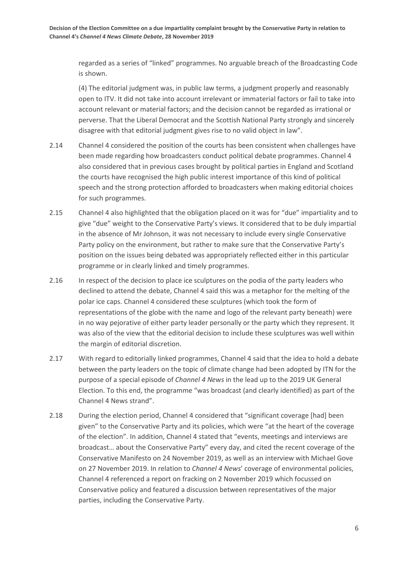regarded as a series of "linked" programmes. No arguable breach of the Broadcasting Code is shown.

(4) The editorial judgment was, in public law terms, a judgment properly and reasonably open to ITV. It did not take into account irrelevant or immaterial factors or fail to take into account relevant or material factors; and the decision cannot be regarded as irrational or perverse. That the Liberal Democrat and the Scottish National Party strongly and sincerely disagree with that editorial judgment gives rise to no valid object in law".

- 2.14 Channel 4 considered the position of the courts has been consistent when challenges have been made regarding how broadcasters conduct political debate programmes. Channel 4 also considered that in previous cases brought by political parties in England and Scotland the courts have recognised the high public interest importance of this kind of political speech and the strong protection afforded to broadcasters when making editorial choices for such programmes.
- 2.15 Channel 4 also highlighted that the obligation placed on it was for "due" impartiality and to give "due" weight to the Conservative Party's views. It considered that to be duly impartial in the absence of Mr Johnson, it was not necessary to include every single Conservative Party policy on the environment, but rather to make sure that the Conservative Party's position on the issues being debated was appropriately reflected either in this particular programme or in clearly linked and timely programmes.
- 2.16 In respect of the decision to place ice sculptures on the podia of the party leaders who declined to attend the debate, Channel 4 said this was a metaphor for the melting of the polar ice caps. Channel 4 considered these sculptures (which took the form of representations of the globe with the name and logo of the relevant party beneath) were in no way pejorative of either party leader personally or the party which they represent. It was also of the view that the editorial decision to include these sculptures was well within the margin of editorial discretion.
- 2.17 With regard to editorially linked programmes, Channel 4 said that the idea to hold a debate between the party leaders on the topic of climate change had been adopted by ITN for the purpose of a special episode of *Channel 4 News* in the lead up to the 2019 UK General Election. To this end, the programme "was broadcast (and clearly identified) as part of the Channel 4 News strand".
- 2.18 During the election period, Channel 4 considered that "significant coverage [had] been given" to the Conservative Party and its policies, which were "at the heart of the coverage of the election". In addition, Channel 4 stated that "events, meetings and interviews are broadcast… about the Conservative Party" every day, and cited the recent coverage of the Conservative Manifesto on 24 November 2019, as well as an interview with Michael Gove on 27 November 2019. In relation to *Channel 4 News*' coverage of environmental policies, Channel 4 referenced a report on fracking on 2 November 2019 which focussed on Conservative policy and featured a discussion between representatives of the major parties, including the Conservative Party.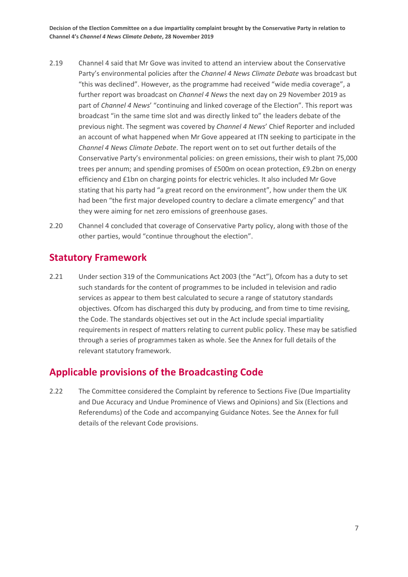- 2.19 Channel 4 said that Mr Gove was invited to attend an interview about the Conservative Party's environmental policies after the *Channel 4 News Climate Debate* was broadcast but "this was declined". However, as the programme had received "wide media coverage", a further report was broadcast on *Channel 4 News* the next day on 29 November 2019 as part of *Channel 4 News*' "continuing and linked coverage of the Election". This report was broadcast "in the same time slot and was directly linked to" the leaders debate of the previous night. The segment was covered by *Channel 4 News*' Chief Reporter and included an account of what happened when Mr Gove appeared at ITN seeking to participate in the *Channel 4 News Climate Debate*. The report went on to set out further details of the Conservative Party's environmental policies: on green emissions, their wish to plant 75,000 trees per annum; and spending promises of £500m on ocean protection, £9.2bn on energy efficiency and £1bn on charging points for electric vehicles. It also included Mr Gove stating that his party had "a great record on the environment", how under them the UK had been "the first major developed country to declare a climate emergency" and that they were aiming for net zero emissions of greenhouse gases.
- 2.20 Channel 4 concluded that coverage of Conservative Party policy, along with those of the other parties, would "continue throughout the election".

#### **Statutory Framework**

2.21 Under section 319 of the Communications Act 2003 (the "Act"), Ofcom has a duty to set such standards for the content of programmes to be included in television and radio services as appear to them best calculated to secure a range of statutory standards objectives. Ofcom has discharged this duty by producing, and from time to time revising, the Code. The standards objectives set out in the Act include special impartiality requirements in respect of matters relating to current public policy. These may be satisfied through a series of programmes taken as whole. See the Annex for full details of the relevant statutory framework.

### **Applicable provisions of the Broadcasting Code**

2.22 The Committee considered the Complaint by reference to Sections Five (Due Impartiality and Due Accuracy and Undue Prominence of Views and Opinions) and Six (Elections and Referendums) of the Code and accompanying Guidance Notes. See the Annex for full details of the relevant Code provisions.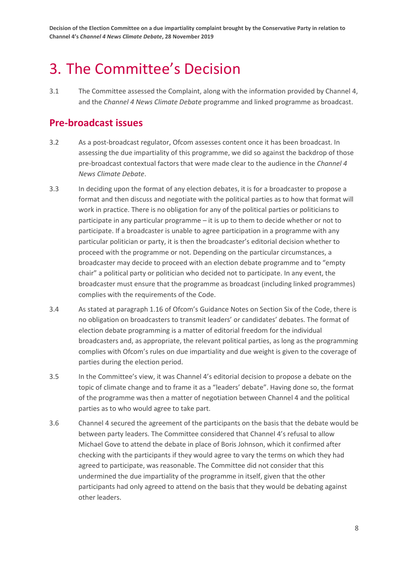# <span id="page-9-0"></span>3. The Committee's Decision

3.1 The Committee assessed the Complaint, along with the information provided by Channel 4, and the *Channel 4 News Climate Debate* programme and linked programme as broadcast.

#### **Pre-broadcast issues**

- 3.2 As a post-broadcast regulator, Ofcom assesses content once it has been broadcast. In assessing the due impartiality of this programme, we did so against the backdrop of those pre-broadcast contextual factors that were made clear to the audience in the *Channel 4 News Climate Debate*.
- 3.3 In deciding upon the format of any election debates, it is for a broadcaster to propose a format and then discuss and negotiate with the political parties as to how that format will work in practice. There is no obligation for any of the political parties or politicians to participate in any particular programme – it is up to them to decide whether or not to participate. If a broadcaster is unable to agree participation in a programme with any particular politician or party, it is then the broadcaster's editorial decision whether to proceed with the programme or not. Depending on the particular circumstances, a broadcaster may decide to proceed with an election debate programme and to "empty chair" a political party or politician who decided not to participate. In any event, the broadcaster must ensure that the programme as broadcast (including linked programmes) complies with the requirements of the Code.
- 3.4 As stated at paragraph 1.16 of Ofcom's Guidance Notes on Section Six of the Code, there is no obligation on broadcasters to transmit leaders' or candidates' debates. The format of election debate programming is a matter of editorial freedom for the individual broadcasters and, as appropriate, the relevant political parties, as long as the programming complies with Ofcom's rules on due impartiality and due weight is given to the coverage of parties during the election period.
- 3.5 In the Committee's view, it was Channel 4's editorial decision to propose a debate on the topic of climate change and to frame it as a "leaders' debate". Having done so, the format of the programme was then a matter of negotiation between Channel 4 and the political parties as to who would agree to take part.
- 3.6 Channel 4 secured the agreement of the participants on the basis that the debate would be between party leaders. The Committee considered that Channel 4's refusal to allow Michael Gove to attend the debate in place of Boris Johnson, which it confirmed after checking with the participants if they would agree to vary the terms on which they had agreed to participate, was reasonable. The Committee did not consider that this undermined the due impartiality of the programme in itself, given that the other participants had only agreed to attend on the basis that they would be debating against other leaders.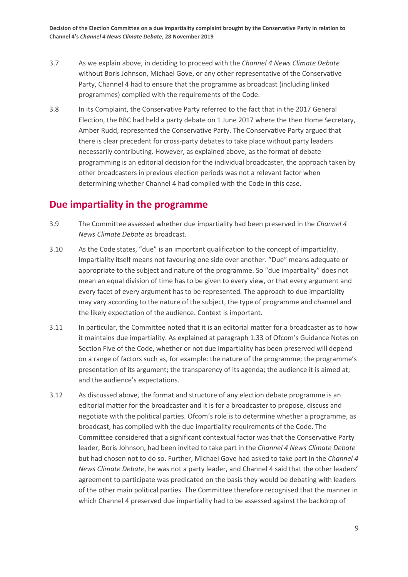- 3.7 As we explain above, in deciding to proceed with the *Channel 4 News Climate Debate* without Boris Johnson, Michael Gove, or any other representative of the Conservative Party, Channel 4 had to ensure that the programme as broadcast (including linked programmes) complied with the requirements of the Code.
- 3.8 In its Complaint, the Conservative Party referred to the fact that in the 2017 General Election, the BBC had held a party debate on 1 June 2017 where the then Home Secretary, Amber Rudd, represented the Conservative Party. The Conservative Party argued that there is clear precedent for cross-party debates to take place without party leaders necessarily contributing. However, as explained above, as the format of debate programming is an editorial decision for the individual broadcaster, the approach taken by other broadcasters in previous election periods was not a relevant factor when determining whether Channel 4 had complied with the Code in this case.

#### **Due impartiality in the programme**

- 3.9 The Committee assessed whether due impartiality had been preserved in the *Channel 4 News Climate Debate* as broadcast*.*
- 3.10 As the Code states, "due" is an important qualification to the concept of impartiality. Impartiality itself means not favouring one side over another. "Due" means adequate or appropriate to the subject and nature of the programme. So "due impartiality" does not mean an equal division of time has to be given to every view, or that every argument and every facet of every argument has to be represented*.* The approach to due impartiality may vary according to the nature of the subject, the type of programme and channel and the likely expectation of the audience. Context is important.
- 3.11 In particular, the Committee noted that it is an editorial matter for a broadcaster as to how it maintains due impartiality. As explained at paragraph 1.33 of Ofcom's Guidance Notes on Section Five of the Code, whether or not due impartiality has been preserved will depend on a range of factors such as, for example: the nature of the programme; the programme's presentation of its argument; the transparency of its agenda; the audience it is aimed at; and the audience's expectations.
- 3.12 As discussed above, the format and structure of any election debate programme is an editorial matter for the broadcaster and it is for a broadcaster to propose, discuss and negotiate with the political parties. Ofcom's role is to determine whether a programme, as broadcast, has complied with the due impartiality requirements of the Code. The Committee considered that a significant contextual factor was that the Conservative Party leader, Boris Johnson, had been invited to take part in the *Channel 4 News Climate Debate* but had chosen not to do so. Further, Michael Gove had asked to take part in the *Channel 4 News Climate Debate*, he was not a party leader, and Channel 4 said that the other leaders' agreement to participate was predicated on the basis they would be debating with leaders of the other main political parties. The Committee therefore recognised that the manner in which Channel 4 preserved due impartiality had to be assessed against the backdrop of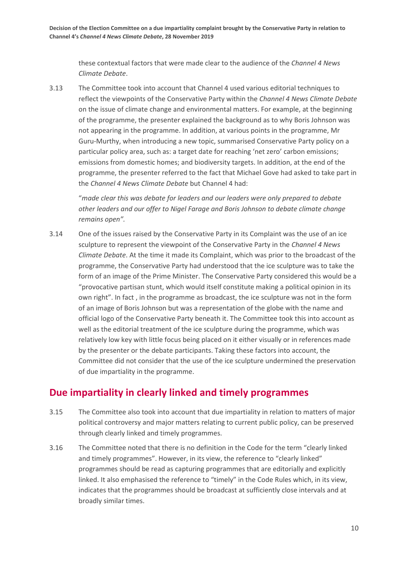these contextual factors that were made clear to the audience of the *Channel 4 News Climate Debate*.

3.13 The Committee took into account that Channel 4 used various editorial techniques to reflect the viewpoints of the Conservative Party within the *Channel 4 News Climate Debate* on the issue of climate change and environmental matters. For example, at the beginning of the programme, the presenter explained the background as to why Boris Johnson was not appearing in the programme. In addition, at various points in the programme, Mr Guru-Murthy, when introducing a new topic, summarised Conservative Party policy on a particular policy area, such as: a target date for reaching 'net zero' carbon emissions; emissions from domestic homes; and biodiversity targets. In addition, at the end of the programme, the presenter referred to the fact that Michael Gove had asked to take part in the *Channel 4 News Climate Debate* but Channel 4 had:

"*made clear this was debate for leaders and our leaders were only prepared to debate other leaders and our offer to Nigel Farage and Boris Johnson to debate climate change remains open".*

3.14 One of the issues raised by the Conservative Party in its Complaint was the use of an ice sculpture to represent the viewpoint of the Conservative Party in the *Channel 4 News Climate Debate*. At the time it made its Complaint, which was prior to the broadcast of the programme, the Conservative Party had understood that the ice sculpture was to take the form of an image of the Prime Minister. The Conservative Party considered this would be a "provocative partisan stunt, which would itself constitute making a political opinion in its own right". In fact , in the programme as broadcast, the ice sculpture was not in the form of an image of Boris Johnson but was a representation of the globe with the name and official logo of the Conservative Party beneath it. The Committee took this into account as well as the editorial treatment of the ice sculpture during the programme, which was relatively low key with little focus being placed on it either visually or in references made by the presenter or the debate participants. Taking these factors into account, the Committee did not consider that the use of the ice sculpture undermined the preservation of due impartiality in the programme.

### **Due impartiality in clearly linked and timely programmes**

- 3.15 The Committee also took into account that due impartiality in relation to matters of major political controversy and major matters relating to current public policy, can be preserved through clearly linked and timely programmes.
- 3.16 The Committee noted that there is no definition in the Code for the term "clearly linked and timely programmes". However, in its view, the reference to "clearly linked" programmes should be read as capturing programmes that are editorially and explicitly linked. It also emphasised the reference to "timely" in the Code Rules which, in its view, indicates that the programmes should be broadcast at sufficiently close intervals and at broadly similar times.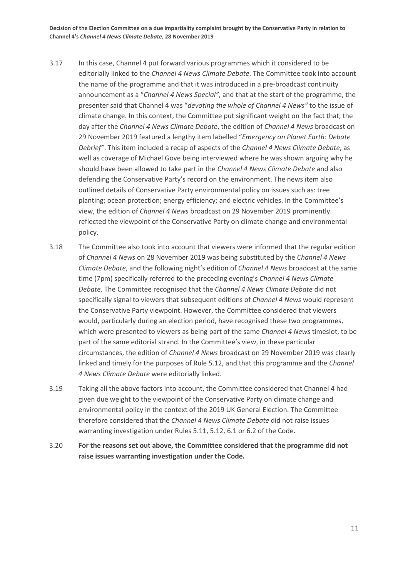- 3.17 In this case, Channel 4 put forward various programmes which it considered to be editorially linked to the *Channel 4 News Climate Debate*. The Committee took into account the name of the programme and that it was introduced in a pre-broadcast continuity announcement as a "*Channel 4 News Special"*, and that at the start of the programme, the presenter said that Channel 4 was "*devoting the whole of Channel 4 News"* to the issue of climate change. In this context, the Committee put significant weight on the fact that, the day after the *Channel 4 News Climate Debate*, the edition of *Channel 4 News* broadcast on 29 November 2019 featured a lengthy item labelled "*Emergency on Planet Earth: Debate Debrief"*. This item included a recap of aspects of the *Channel 4 News Climate Debate*, as well as coverage of Michael Gove being interviewed where he was shown arguing why he should have been allowed to take part in the *Channel 4 News Climate Debate* and also defending the Conservative Party's record on the environment. The news item also outlined details of Conservative Party environmental policy on issues such as: tree planting; ocean protection; energy efficiency; and electric vehicles. In the Committee's view, the edition of *Channel 4 News* broadcast on 29 November 2019 prominently reflected the viewpoint of the Conservative Party on climate change and environmental policy.
- 3.18 The Committee also took into account that viewers were informed that the regular edition of *Channel 4 News* on 28 November 2019 was being substituted by the *Channel 4 News Climate Debate*, and the following night's edition of *Channel 4 News* broadcast at the same time (7pm) specifically referred to the preceding evening's *Channel 4 News Climate Debate*. The Committee recognised that the *Channel 4 News Climate Debate* did not specifically signal to viewers that subsequent editions of *Channel 4 News* would represent the Conservative Party viewpoint. However, the Committee considered that viewers would, particularly during an election period, have recognised these two programmes, which were presented to viewers as being part of the same *Channel 4 News* timeslot, to be part of the same editorial strand. In the Committee's view, in these particular circumstances, the edition of *Channel 4 News* broadcast on 29 November 2019 was clearly linked and timely for the purposes of Rule 5.12, and that this programme and the *Channel 4 News Climate Debate* were editorially linked.
- 3.19 Taking all the above factors into account, the Committee considered that Channel 4 had given due weight to the viewpoint of the Conservative Party on climate change and environmental policy in the context of the 2019 UK General Election. The Committee therefore considered that the *Channel 4 News Climate Debate* did not raise issues warranting investigation under Rules 5.11, 5.12, 6.1 or 6.2 of the Code.
- 3.20 **For the reasons set out above, the Committee considered that the programme did not raise issues warranting investigation under the Code.**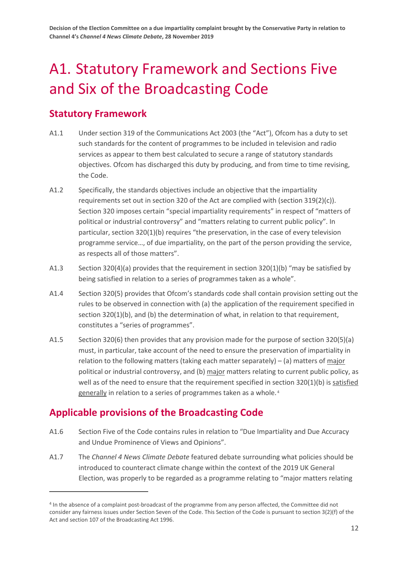# <span id="page-13-0"></span>A1. Statutory Framework and Sections Five and Six of the Broadcasting Code

## **Statutory Framework**

- A1.1 Under section 319 of the Communications Act 2003 (the "Act"), Ofcom has a duty to set such standards for the content of programmes to be included in television and radio services as appear to them best calculated to secure a range of statutory standards objectives. Ofcom has discharged this duty by producing, and from time to time revising, the Code.
- A1.2 Specifically, the standards objectives include an objective that the impartiality requirements set out in section 320 of the Act are complied with (section  $319(2)(c)$ ). Section 320 imposes certain "special impartiality requirements" in respect of "matters of political or industrial controversy" and "matters relating to current public policy". In particular, section 320(1)(b) requires "the preservation, in the case of every television programme service…, of due impartiality, on the part of the person providing the service, as respects all of those matters".
- A1.3 Section 320(4)(a) provides that the requirement in section 320(1)(b) "may be satisfied by being satisfied in relation to a series of programmes taken as a whole".
- A1.4 Section 320(5) provides that Ofcom's standards code shall contain provision setting out the rules to be observed in connection with (a) the application of the requirement specified in section 320(1)(b), and (b) the determination of what, in relation to that requirement, constitutes a "series of programmes".
- A1.5 Section 320(6) then provides that any provision made for the purpose of section 320(5)(a) must, in particular, take account of the need to ensure the preservation of impartiality in relation to the following matters (taking each matter separately) – (a) matters of major political or industrial controversy, and (b) major matters relating to current public policy, as well as of the need to ensure that the requirement specified in section 320(1)(b) is satisfied generally in relation to a series of programmes taken as a whole.<sup>[4](#page-13-1)</sup>

# **Applicable provisions of the Broadcasting Code**

- A1.6 Section Five of the Code contains rules in relation to "Due Impartiality and Due Accuracy and Undue Prominence of Views and Opinions".
- A1.7 The *Channel 4 News Climate Debate* featured debate surrounding what policies should be introduced to counteract climate change within the context of the 2019 UK General Election, was properly to be regarded as a programme relating to "major matters relating

<span id="page-13-1"></span><sup>4</sup> In the absence of a complaint post-broadcast of the programme from any person affected, the Committee did not consider any fairness issues under Section Seven of the Code. This Section of the Code is pursuant to section 3(2)(f) of the Act and section 107 of the Broadcasting Act 1996.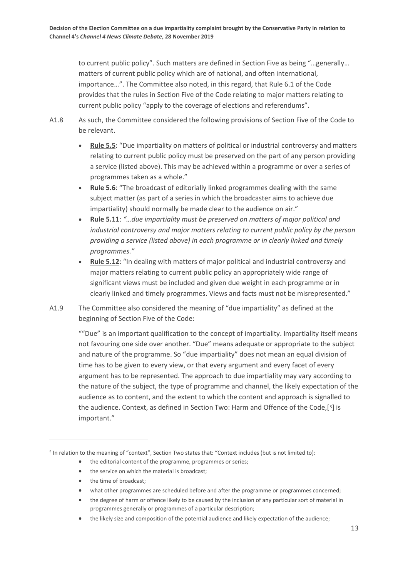to current public policy". Such matters are defined in Section Five as being "…generally… matters of current public policy which are of national, and often international, importance…". The Committee also noted, in this regard, that Rule 6.1 of the Code provides that the rules in Section Five of the Code relating to major matters relating to current public policy "apply to the coverage of elections and referendums".

- A1.8 As such, the Committee considered the following provisions of Section Five of the Code to be relevant.
	- **Rule 5.5**: "Due impartiality on matters of political or industrial controversy and matters relating to current public policy must be preserved on the part of any person providing a service (listed above). This may be achieved within a programme or over a series of programmes taken as a whole."
	- **Rule 5.6**: "The broadcast of editorially linked programmes dealing with the same subject matter (as part of a series in which the broadcaster aims to achieve due impartiality) should normally be made clear to the audience on air."
	- **Rule 5.11**: *"…due impartiality must be preserved on matters of major political and industrial controversy and major matters relating to current public policy by the person providing a service (listed above) in each programme or in clearly linked and timely programmes."*
	- **Rule 5.12**: "In dealing with matters of major political and industrial controversy and major matters relating to current public policy an appropriately wide range of significant views must be included and given due weight in each programme or in clearly linked and timely programmes. Views and facts must not be misrepresented."
- A1.9 The Committee also considered the meaning of "due impartiality" as defined at the beginning of Section Five of the Code:

""Due" is an important qualification to the concept of impartiality. Impartiality itself means not favouring one side over another. "Due" means adequate or appropriate to the subject and nature of the programme. So "due impartiality" does not mean an equal division of time has to be given to every view, or that every argument and every facet of every argument has to be represented. The approach to due impartiality may vary according to the nature of the subject, the type of programme and channel, the likely expectation of the audience as to content, and the extent to which the content and approach is signalled to the audience. Context, as defined in Section Two: Harm and Offence of the Code,[ [5](#page-14-0)] is important."

- the editorial content of the programme, programmes or series;
- the service on which the material is broadcast;
- the time of broadcast;

- what other programmes are scheduled before and after the programme or programmes concerned;
- the degree of harm or offence likely to be caused by the inclusion of any particular sort of material in programmes generally or programmes of a particular description;
- the likely size and composition of the potential audience and likely expectation of the audience;

<span id="page-14-0"></span><sup>5</sup> In relation to the meaning of "context", Section Two states that: "Context includes (but is not limited to):